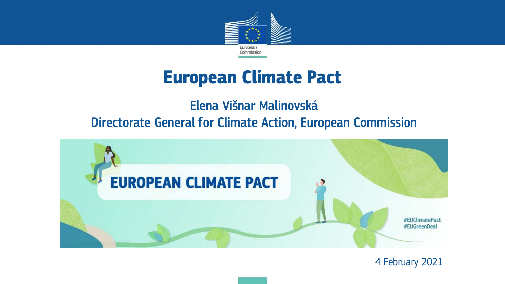

## **European Climate Pact**

### Elena Višnar Malinovská Directorate General for Climate Action, European Commission



4 February 2021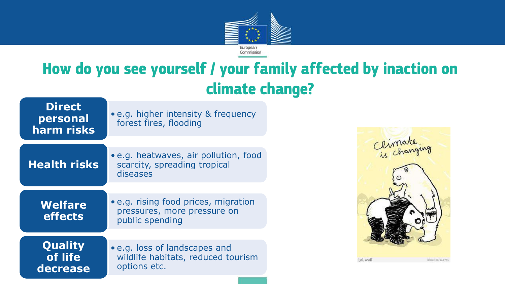

### **How do you see yourself / your family affected by inaction on climate change?**

**Direct personal harm risks**

• e.g. higher intensity & frequency forest fires, flooding

### **Health risks**

• e.g. heatwaves, air pollution, food scarcity, spreading tropical diseases

**Welfare effects** 

• e.g. rising food prices, migration pressures, more pressure on public spending

**Quality of life decrease**

• e.g. loss of landscapes and wildlife habitats, reduced tourism options etc.

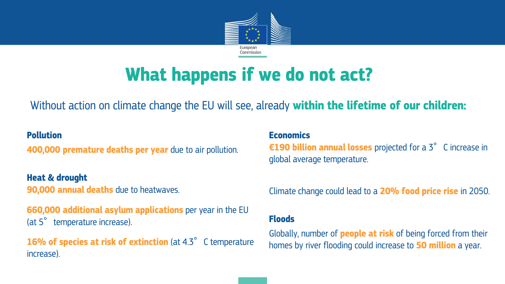

# **What happens if we do not act?**

Without action on climate change the EU will see, already **within the lifetime of our children:** 

#### **Pollution**

**400,000 premature deaths per year** due to air pollution.

**Heat & drought 90,000 annual deaths** due to heatwaves.

**660,000 additional asylum applications** per year in the EU (at 5° temperature increase).

**16% of species at risk of extinction** (at 4.3°C temperature increase).

**Economics €190 billion annual losses** projected for a 3°C increase in global average temperature.

Climate change could lead to a **20% food price rise** in 2050.

#### **Floods**

Globally, number of **people at risk** of being forced from their homes by river flooding could increase to **50 million** a year.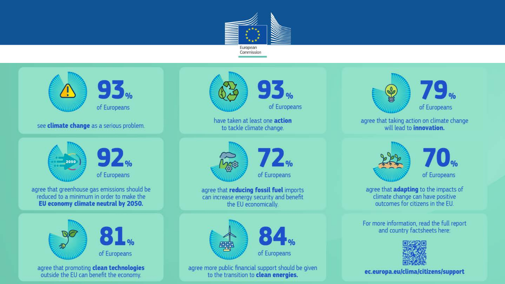



agree that promoting clean technologies outside the EU can benefit the economy.



have taken at least one action to tackle climate change.



agree that reducing fossil fuel imports can increase energy security and benefit the EU economically.



agree more public financial support should be given to the transition to clean energies.



agree that taking action on climate change will lead to **innovation**.



agree that adapting to the impacts of climate change can have positive outcomes for citizens in the EU.

For more information, read the full report and country factsheets here:



ec.europa.eu/clima/citizens/support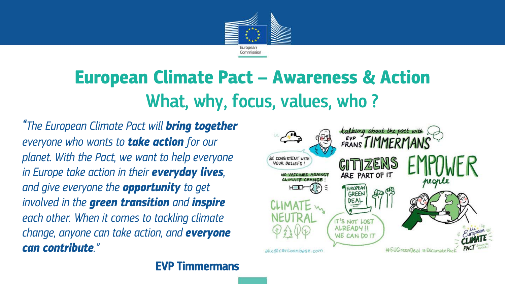

# **European Climate Pact – Awareness & Action** What, why, focus, values, who ?

*"The European Climate Pact will bring together everyone who wants to take action for our planet. With the Pact, we want to help everyone in Europe take action in their everyday lives, and give everyone the opportunity to get involved in the green transition and inspire each other. When it comes to tackling climate change, anyone can take action, and everyone can contribute."* 

EVP Timmermans

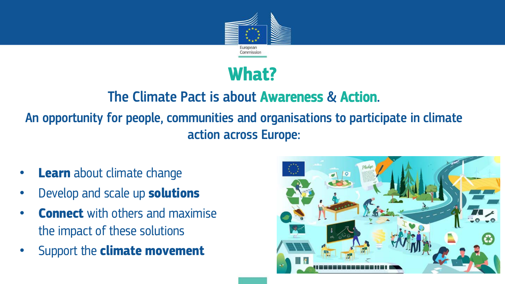

### **What?**

### The Climate Pact is about Awareness & Action. An opportunity for people, communities and organisations to participate in climate action across Europe:

- **Learn** about climate change
- Develop and scale up **solutions**
- **Connect** with others and maximise the impact of these solutions
- Support the **climate movement**

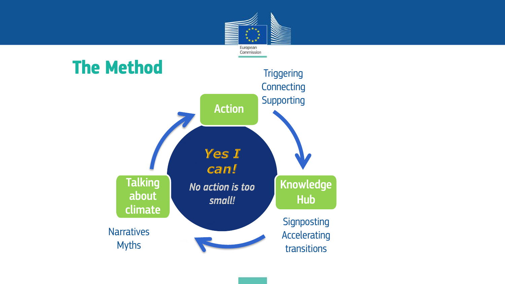

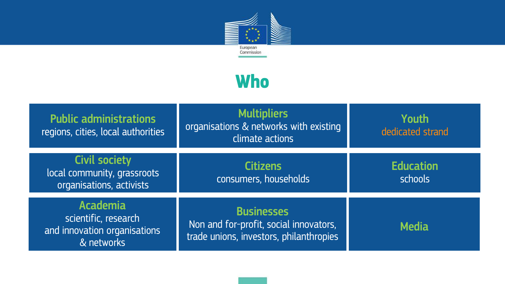

### **Who**

| <b>Public administrations</b><br>regions, cities, local authorities                   | <b>Multipliers</b><br>organisations & networks with existing<br>climate actions                        | Youth<br>dedicated strand   |
|---------------------------------------------------------------------------------------|--------------------------------------------------------------------------------------------------------|-----------------------------|
| <b>Civil society</b><br>local community, grassroots<br>organisations, activists       | <b>Citizens</b><br>consumers, households                                                               | <b>Education</b><br>schools |
| <b>Academia</b><br>scientific, research<br>and innovation organisations<br>& networks | <b>Businesses</b><br>Non and for-profit, social innovators,<br>trade unions, investors, philanthropies | <b>Media</b>                |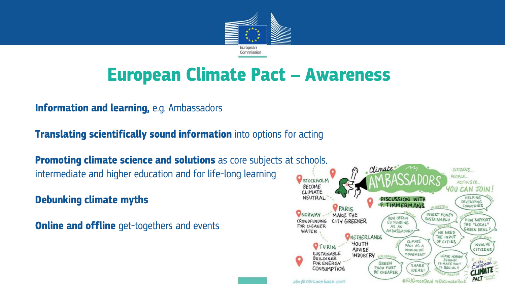

# **European Climate Pact – Awareness**

#### **Information and learning, e.g. Ambassadors**

**Translating scientifically sound information** into options for acting

**Promoting climate science and solutions** as core subjects at schools, intermediate and higher education and for life-long learning

**4. Debunking climate myths** 

**Online and offline** get-togethers and events

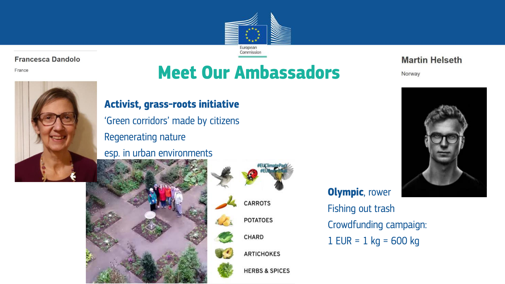

#### **Francesca Dandolo**

France



# **Meet Our Ambassadors**

#### • **Activist, grass-roots initiative**

• 'Green corridors' made by citizens • Regenerating nature

esp. in urban environments





**Olympic**, rower Fishing out trash • Crowdfunding campaign:  $1$  EUR = 1 kg = 600 kg



Norway

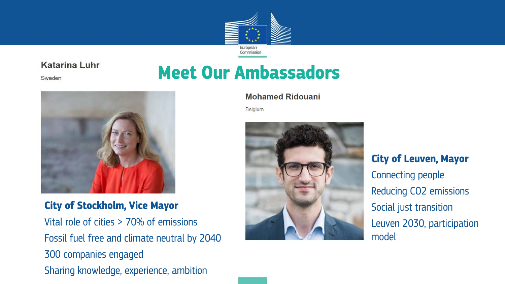

#### **Katarina Luhr**

Sweden





**City of Stockholm, Vice Mayor** Vital role of cities > 70% of emissions Fossil fuel free and climate neutral by 2040 300 companies engaged Sharing knowledge, experience, ambition

#### **Mohamed Ridouani**

Belgium



• **City of Leuven, Mayor** • Connecting people Reducing CO2 emissions • Social just transition • Leuven 2030, participation model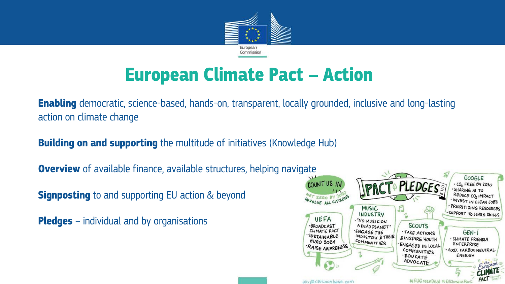

# **European Climate Pact – Action**

**Enabling** democratic, science-based, hands-on, transparent, locally grounded, inclusive and long-lasting action on climate change

**2. Building on and supporting** the multitude of initiatives (Knowledge Hub)

**Overview** of available finance, available structures, helping navigate

**Signposting** to and supporting EU action & beyond

**5. Pledges** – individual and by organisations

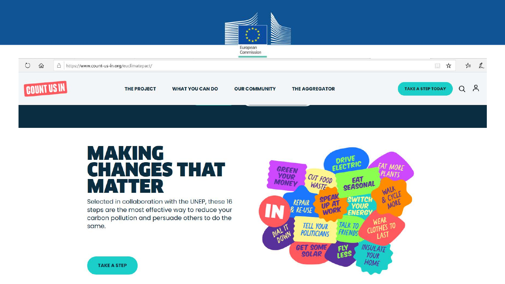



### **MAKING CHANGES THAT MATTER**

Selected in collaboration with the UNEP, these 16 steps are the most effective way to reduce your carbon pollution and persuade others to do the same.



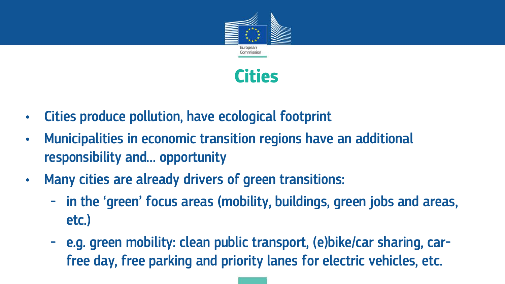

### **Cities**

- Cities produce pollution, have ecological footprint
- Municipalities in economic transition regions have an additional responsibility and… opportunity
- Many cities are already drivers of green transitions:
	- in the 'green' focus areas (mobility, buildings, green jobs and areas, etc.)
	- e.g. green mobility: clean public transport, (e)bike/car sharing, carfree day, free parking and priority lanes for electric vehicles, etc.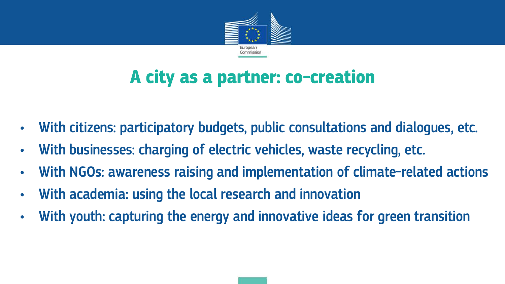

# **A city as a partner: co-creation**

- With citizens: participatory budgets, public consultations and dialogues, etc.
- With businesses: charging of electric vehicles, waste recycling, etc.
- With NGOs: awareness raising and implementation of climate-related actions
- With academia: using the local research and innovation
- With youth: capturing the energy and innovative ideas for green transition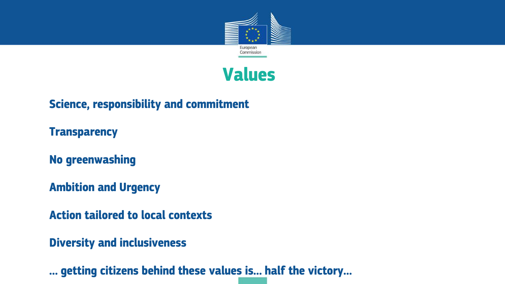

### **Values**

**Science, responsibility and commitment**

**Transparency**

**No greenwashing**

**Ambition and Urgency**

**Action tailored to local contexts**

**Diversity and inclusiveness**

**… getting citizens behind these values is… half the victory…**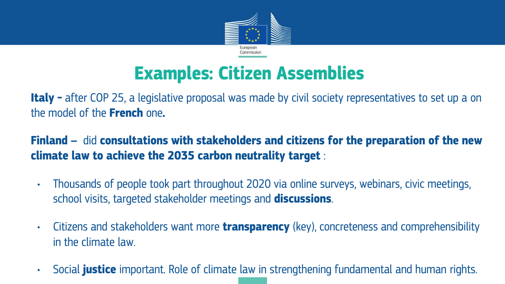

# **Examples: Citizen Assemblies**

**Italy** – after COP 25, a legislative proposal was made by civil society representatives to set up a on the model of the **French** one**.** 

### **2. Finland –** did **consultations with stakeholders and citizens for the preparation of the new climate law to achieve the 2035 carbon neutrality target** :

- Thousands of people took part throughout 2020 via online surveys, webinars, civic meetings, school visits, targeted stakeholder meetings and **discussions**.
- Citizens and stakeholders want more **transparency** (key), concreteness and comprehensibility in the climate law.
- Social **justice** important. Role of climate law in strengthening fundamental and human rights.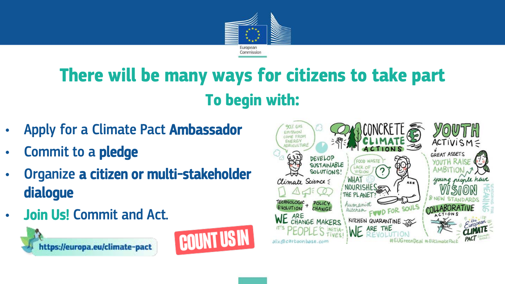

# **There will be many ways for citizens to take part To begin with:**

- Apply for a Climate Pact Ambassador
- Commit to a pledge
- Organize a citizen or multi-stakeholder dialogue
- Join Us! Commit and Act.





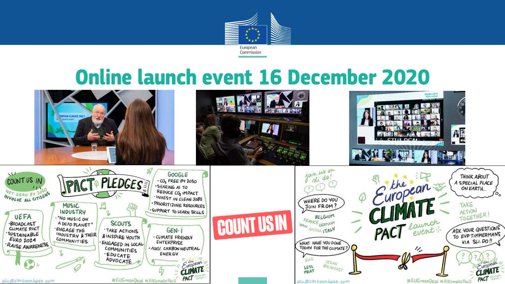

# **Online launch event 16 December 2020**